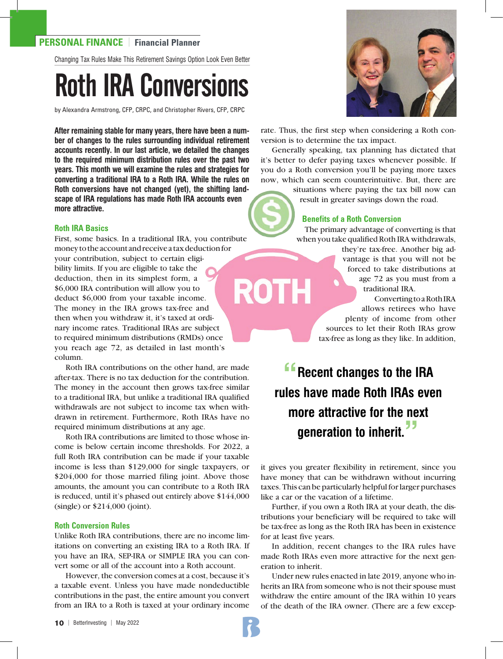# **PERSONAL FINANCE** | **Financial Planner**

Changing Tax Rules Make This Retirement Savings Option Look Even Better

# Roth IRA Conversions

by Alexandra Armstrong, CFP, CRPC, and Christopher Rivers, CFP, CRPC

**After remaining stable for many years, there have been a number of changes to the rules surrounding individual retirement accounts recently. In our last article, we detailed the changes to the required minimum distribution rules over the past two years. This month we will examine the rules and strategies for converting a traditional IRA to a Roth IRA. While the rules on Roth conversions have not changed (yet), the shifting landscape of IRA regulations has made Roth IRA accounts even more attractive.**

## **Roth IRA Basics**

First, some basics. In a traditional IRA, you contribute money to the account and receive a tax deduction for your contribution, subject to certain eligibility limits. If you are eligible to take the deduction, then in its simplest form, a ROTH \$6,000 IRA contribution will allow you to deduct \$6,000 from your taxable income. The money in the IRA grows tax-free and then when you withdraw it, it's taxed at ordinary income rates. Traditional IRAs are subject to required minimum distributions (RMDs) once you reach age 72, as detailed in last month's column.

Roth IRA contributions on the other hand, are made after-tax. There is no tax deduction for the contribution. The money in the account then grows tax-free similar to a traditional IRA, but unlike a traditional IRA qualified withdrawals are not subject to income tax when withdrawn in retirement. Furthermore, Roth IRAs have no required minimum distributions at any age.

Roth IRA contributions are limited to those whose income is below certain income thresholds. For 2022, a full Roth IRA contribution can be made if your taxable income is less than \$129,000 for single taxpayers, or \$204,000 for those married filing joint. Above those amounts, the amount you can contribute to a Roth IRA is reduced, until it's phased out entirely above \$144,000 (single) or \$214,000 (joint).

# **Roth Conversion Rules**

Unlike Roth IRA contributions, there are no income limitations on converting an existing IRA to a Roth IRA. If you have an IRA, SEP-IRA or SIMPLE IRA you can convert some or all of the account into a Roth account.

However, the conversion comes at a cost, because it's a taxable event. Unless you have made nondeductible contributions in the past, the entire amount you convert from an IRA to a Roth is taxed at your ordinary income



rate. Thus, the first step when considering a Roth conversion is to determine the tax impact.

Generally speaking, tax planning has dictated that it's better to defer paying taxes whenever possible. If you do a Roth conversion you'll be paying more taxes now, which can seem counterintuitive. But, there are

> situations where paying the tax bill now can result in greater savings down the road.

#### **Benefits of a Roth Conversion**

 The primary advantage of converting is that when you take qualified Roth IRA withdrawals,

> they're tax-free. Another big advantage is that you will not be forced to take distributions at age 72 as you must from a traditional IRA.

Converting to a Roth IRA allows retirees who have plenty of income from other sources to let their Roth IRAs grow tax-free as long as they like. In addition,

**Recent changes to the IRA rules have made Roth IRAs even more attractive for the next generation to inherit."**

it gives you greater flexibility in retirement, since you have money that can be withdrawn without incurring taxes. This can be particularly helpful for larger purchases like a car or the vacation of a lifetime.

Further, if you own a Roth IRA at your death, the distributions your beneficiary will be required to take will be tax-free as long as the Roth IRA has been in existence for at least five years.

In addition, recent changes to the IRA rules have made Roth IRAs even more attractive for the next generation to inherit.

Under new rules enacted in late 2019, anyone who inherits an IRA from someone who is not their spouse must withdraw the entire amount of the IRA within 10 years of the death of the IRA owner. (There are a few excep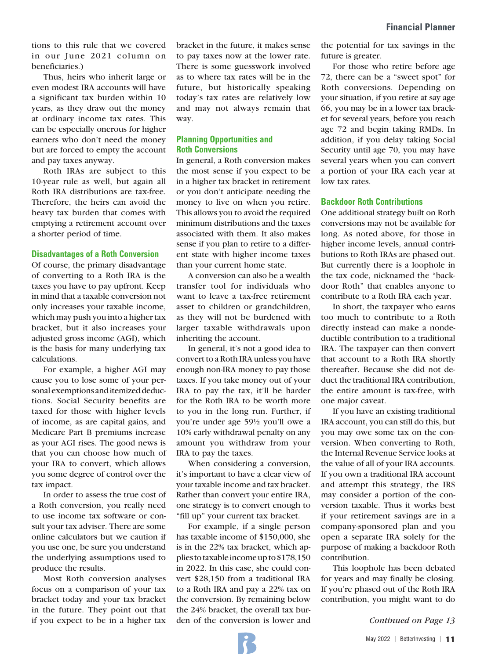tions to this rule that we covered in our June 2021 column on beneficiaries.)

Thus, heirs who inherit large or even modest IRA accounts will have a significant tax burden within 10 years, as they draw out the money at ordinary income tax rates. This can be especially onerous for higher earners who don't need the money but are forced to empty the account and pay taxes anyway.

Roth IRAs are subject to this 10-year rule as well, but again all Roth IRA distributions are tax-free. Therefore, the heirs can avoid the heavy tax burden that comes with emptying a retirement account over a shorter period of time.

#### **Disadvantages of a Roth Conversion**

Of course, the primary disadvantage of converting to a Roth IRA is the taxes you have to pay upfront. Keep in mind that a taxable conversion not only increases your taxable income, which may push you into a higher tax bracket, but it also increases your adjusted gross income (AGI), which is the basis for many underlying tax calculations.

For example, a higher AGI may cause you to lose some of your personal exemptions and itemized deductions. Social Security benefits are taxed for those with higher levels of income, as are capital gains, and Medicare Part B premiums increase as your AGI rises. The good news is that you can choose how much of your IRA to convert, which allows you some degree of control over the tax impact.

In order to assess the true cost of a Roth conversion, you really need to use income tax software or consult your tax adviser. There are some online calculators but we caution if you use one, be sure you understand the underlying assumptions used to produce the results.

Most Roth conversion analyses focus on a comparison of your tax bracket today and your tax bracket in the future. They point out that if you expect to be in a higher tax

bracket in the future, it makes sense to pay taxes now at the lower rate. There is some guesswork involved as to where tax rates will be in the future, but historically speaking today's tax rates are relatively low and may not always remain that way.

## **Planning Opportunities and Roth Conversions**

In general, a Roth conversion makes the most sense if you expect to be in a higher tax bracket in retirement or you don't anticipate needing the money to live on when you retire. This allows you to avoid the required minimum distributions and the taxes associated with them. It also makes sense if you plan to retire to a different state with higher income taxes than your current home state.

A conversion can also be a wealth transfer tool for individuals who want to leave a tax-free retirement asset to children or grandchildren, as they will not be burdened with larger taxable withdrawals upon inheriting the account.

In general, it's not a good idea to convert to a Roth IRA unless you have enough non-IRA money to pay those taxes. If you take money out of your IRA to pay the tax, it'll be harder for the Roth IRA to be worth more to you in the long run. Further, if you're under age 59½ you'll owe a 10% early withdrawal penalty on any amount you withdraw from your IRA to pay the taxes.

When considering a conversion, it's important to have a clear view of your taxable income and tax bracket. Rather than convert your entire IRA, one strategy is to convert enough to "fill up" your current tax bracket.

For example, if a single person has taxable income of \$150,000, she is in the 22% tax bracket, which applies to taxable income up to \$178,150 in 2022. In this case, she could convert \$28,150 from a traditional IRA to a Roth IRA and pay a 22% tax on the conversion. By remaining below the 24% bracket, the overall tax burden of the conversion is lower and

the potential for tax savings in the future is greater.

For those who retire before age 72, there can be a "sweet spot" for Roth conversions. Depending on your situation, if you retire at say age 66, you may be in a lower tax bracket for several years, before you reach age 72 and begin taking RMDs. In addition, if you delay taking Social Security until age 70, you may have several years when you can convert a portion of your IRA each year at low tax rates.

#### **Backdoor Roth Contributions**

One additional strategy built on Roth conversions may not be available for long. As noted above, for those in higher income levels, annual contributions to Roth IRAs are phased out. But currently there is a loophole in the tax code, nicknamed the "backdoor Roth" that enables anyone to contribute to a Roth IRA each year.

In short, the taxpayer who earns too much to contribute to a Roth directly instead can make a nondeductible contribution to a traditional IRA. The taxpayer can then convert that account to a Roth IRA shortly thereafter. Because she did not deduct the traditional IRA contribution, the entire amount is tax-free, with one major caveat.

If you have an existing traditional IRA account, you can still do this, but you may owe some tax on the conversion. When converting to Roth, the Internal Revenue Service looks at the value of all of your IRA accounts. If you own a traditional IRA account and attempt this strategy, the IRS may consider a portion of the conversion taxable. Thus it works best if your retirement savings are in a company-sponsored plan and you open a separate IRA solely for the purpose of making a backdoor Roth contribution.

This loophole has been debated for years and may finally be closing. If you're phased out of the Roth IRA contribution, you might want to do

*Continued on Page 13*